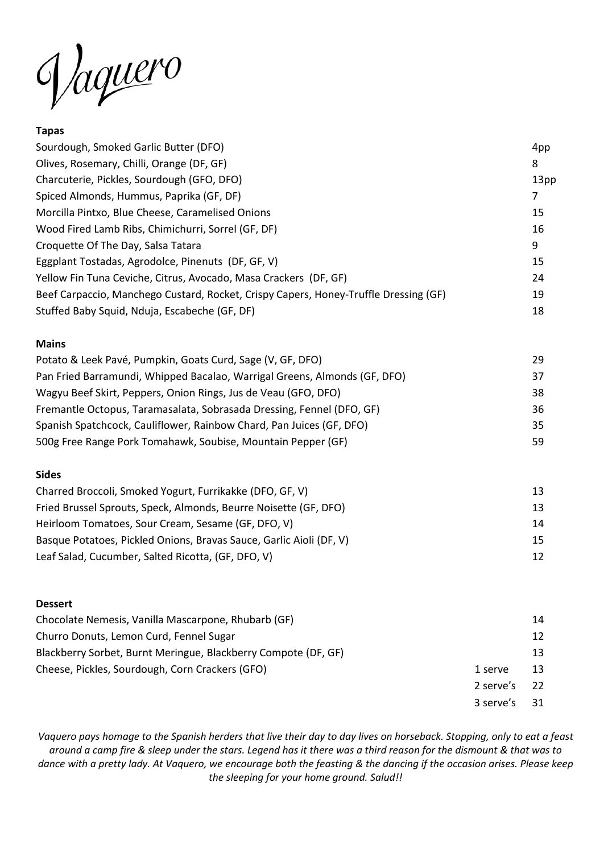Jaquero

## **Tapas**

| Sourdough, Smoked Garlic Butter (DFO)                                                |           | 4pp  |
|--------------------------------------------------------------------------------------|-----------|------|
| Olives, Rosemary, Chilli, Orange (DF, GF)                                            |           | 8    |
| Charcuterie, Pickles, Sourdough (GFO, DFO)                                           |           | 13pp |
| Spiced Almonds, Hummus, Paprika (GF, DF)                                             |           | 7    |
| Morcilla Pintxo, Blue Cheese, Caramelised Onions                                     |           | 15   |
| Wood Fired Lamb Ribs, Chimichurri, Sorrel (GF, DF)                                   |           | 16   |
| Croquette Of The Day, Salsa Tatara                                                   |           | 9    |
| Eggplant Tostadas, Agrodolce, Pinenuts (DF, GF, V)                                   |           | 15   |
| Yellow Fin Tuna Ceviche, Citrus, Avocado, Masa Crackers (DF, GF)                     |           | 24   |
| Beef Carpaccio, Manchego Custard, Rocket, Crispy Capers, Honey-Truffle Dressing (GF) |           | 19   |
| Stuffed Baby Squid, Nduja, Escabeche (GF, DF)                                        |           | 18   |
| <b>Mains</b>                                                                         |           |      |
| Potato & Leek Pavé, Pumpkin, Goats Curd, Sage (V, GF, DFO)                           |           | 29   |
| Pan Fried Barramundi, Whipped Bacalao, Warrigal Greens, Almonds (GF, DFO)            |           | 37   |
| Wagyu Beef Skirt, Peppers, Onion Rings, Jus de Veau (GFO, DFO)                       |           | 38   |
| Fremantle Octopus, Taramasalata, Sobrasada Dressing, Fennel (DFO, GF)                |           | 36   |
| Spanish Spatchcock, Cauliflower, Rainbow Chard, Pan Juices (GF, DFO)                 |           | 35   |
| 500g Free Range Pork Tomahawk, Soubise, Mountain Pepper (GF)                         |           | 59   |
| <b>Sides</b>                                                                         |           |      |
| Charred Broccoli, Smoked Yogurt, Furrikakke (DFO, GF, V)                             |           | 13   |
| Fried Brussel Sprouts, Speck, Almonds, Beurre Noisette (GF, DFO)                     |           | 13   |
| Heirloom Tomatoes, Sour Cream, Sesame (GF, DFO, V)                                   |           | 14   |
| Basque Potatoes, Pickled Onions, Bravas Sauce, Garlic Aioli (DF, V)                  |           | 15   |
| Leaf Salad, Cucumber, Salted Ricotta, (GF, DFO, V)                                   |           | 12   |
| <b>Dessert</b>                                                                       |           |      |
| Chocolate Nemesis, Vanilla Mascarpone, Rhubarb (GF)                                  |           | 14   |
| Churro Donuts, Lemon Curd, Fennel Sugar                                              |           | 12   |
| Blackberry Sorbet, Burnt Meringue, Blackberry Compote (DF, GF)                       |           | 13   |
| Cheese, Pickles, Sourdough, Corn Crackers (GFO)                                      | 1 serve   | 13   |
|                                                                                      | 2 serve's | 22   |
|                                                                                      | 3 serve's | 31   |
|                                                                                      |           |      |

*Vaquero pays homage to the Spanish herders that live their day to day lives on horseback. Stopping, only to eat a feast around a camp fire & sleep under the stars. Legend has it there was a third reason for the dismount & that was to dance with a pretty lady. At Vaquero, we encourage both the feasting & the dancing if the occasion arises. Please keep the sleeping for your home ground. Salud!!*